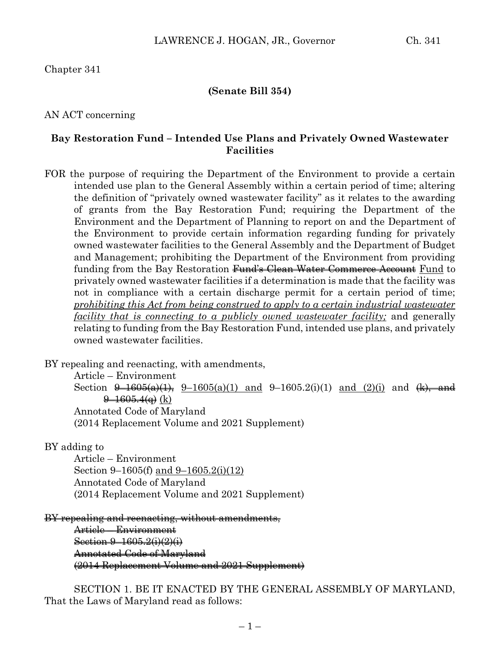Chapter 341

#### **(Senate Bill 354)**

AN ACT concerning

#### **Bay Restoration Fund – Intended Use Plans and Privately Owned Wastewater Facilities**

FOR the purpose of requiring the Department of the Environment to provide a certain intended use plan to the General Assembly within a certain period of time; altering the definition of "privately owned wastewater facility" as it relates to the awarding of grants from the Bay Restoration Fund; requiring the Department of the Environment and the Department of Planning to report on and the Department of the Environment to provide certain information regarding funding for privately owned wastewater facilities to the General Assembly and the Department of Budget and Management; prohibiting the Department of the Environment from providing funding from the Bay Restoration <del>Fund's Clean Water Commerce Account</del> Fund to privately owned wastewater facilities if a determination is made that the facility was not in compliance with a certain discharge permit for a certain period of time; *prohibiting this Act from being construed to apply to a certain industrial wastewater facility that is connecting to a publicly owned wastewater facility;* and generally relating to funding from the Bay Restoration Fund, intended use plans, and privately owned wastewater facilities.

BY repealing and reenacting, with amendments,

Article – Environment

Section  $\theta$ -1605(a)(1),  $9$ -1605(a)(1) and  $9$ -1605.2(i)(1) and (2)(i) and (k), and  $\frac{9-1605.4(a)}{b}$  (k)

Annotated Code of Maryland

(2014 Replacement Volume and 2021 Supplement)

BY adding to

Article – Environment Section 9–1605(f) and 9–1605.2(i)(12) Annotated Code of Maryland (2014 Replacement Volume and 2021 Supplement)

BY repealing and reenacting, without amendments,

Article – Environment Section 9-1605.2(i)(2)(i) Annotated Code of Maryland (2014 Replacement Volume and 2021 Supplement)

SECTION 1. BE IT ENACTED BY THE GENERAL ASSEMBLY OF MARYLAND, That the Laws of Maryland read as follows: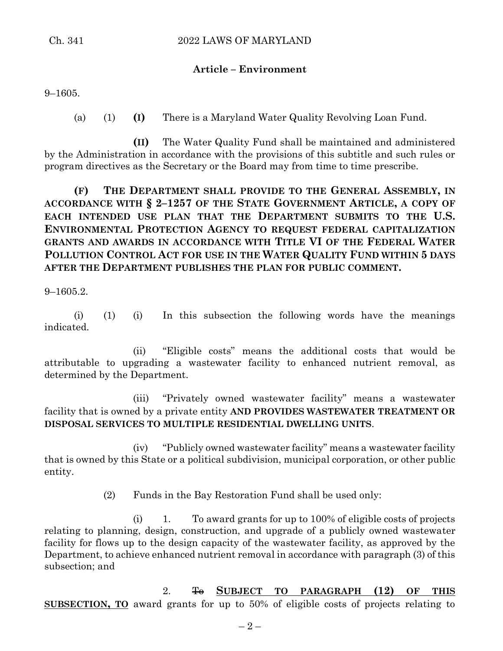### **Article – Environment**

9–1605.

(a) (1) **(I)** There is a Maryland Water Quality Revolving Loan Fund.

**(II)** The Water Quality Fund shall be maintained and administered by the Administration in accordance with the provisions of this subtitle and such rules or program directives as the Secretary or the Board may from time to time prescribe.

**(F) THE DEPARTMENT SHALL PROVIDE TO THE GENERAL ASSEMBLY, IN ACCORDANCE WITH § 2–1257 OF THE STATE GOVERNMENT ARTICLE, A COPY OF EACH INTENDED USE PLAN THAT THE DEPARTMENT SUBMITS TO THE U.S. ENVIRONMENTAL PROTECTION AGENCY TO REQUEST FEDERAL CAPITALIZATION GRANTS AND AWARDS IN ACCORDANCE WITH TITLE VI OF THE FEDERAL WATER POLLUTION CONTROL ACT FOR USE IN THE WATER QUALITY FUND WITHIN 5 DAYS AFTER THE DEPARTMENT PUBLISHES THE PLAN FOR PUBLIC COMMENT.**

9–1605.2.

(i) (1) (i) In this subsection the following words have the meanings indicated.

(ii) "Eligible costs" means the additional costs that would be attributable to upgrading a wastewater facility to enhanced nutrient removal, as determined by the Department.

(iii) "Privately owned wastewater facility" means a wastewater facility that is owned by a private entity **AND PROVIDES WASTEWATER TREATMENT OR DISPOSAL SERVICES TO MULTIPLE RESIDENTIAL DWELLING UNITS**.

(iv) "Publicly owned wastewater facility" means a wastewater facility that is owned by this State or a political subdivision, municipal corporation, or other public entity.

(2) Funds in the Bay Restoration Fund shall be used only:

(i) 1. To award grants for up to 100% of eligible costs of projects relating to planning, design, construction, and upgrade of a publicly owned wastewater facility for flows up to the design capacity of the wastewater facility, as approved by the Department, to achieve enhanced nutrient removal in accordance with paragraph (3) of this subsection; and

2. To **SUBJECT TO PARAGRAPH (12) OF THIS SUBSECTION, TO** award grants for up to 50% of eligible costs of projects relating to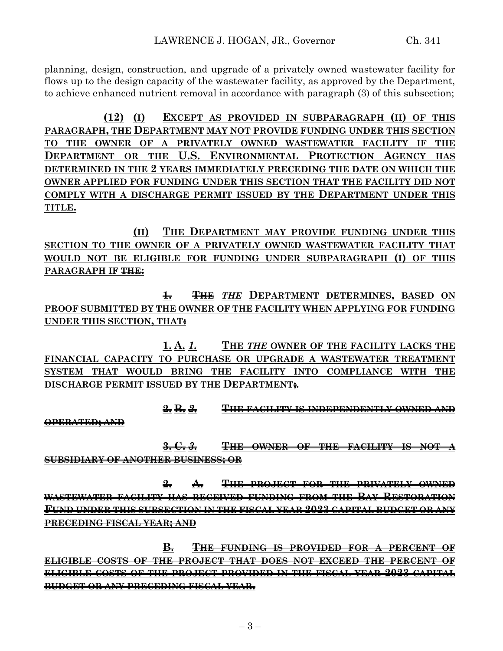planning, design, construction, and upgrade of a privately owned wastewater facility for flows up to the design capacity of the wastewater facility, as approved by the Department, to achieve enhanced nutrient removal in accordance with paragraph (3) of this subsection;

**(12) (I) EXCEPT AS PROVIDED IN SUBPARAGRAPH (II) OF THIS PARAGRAPH, THE DEPARTMENT MAY NOT PROVIDE FUNDING UNDER THIS SECTION TO THE OWNER OF A PRIVATELY OWNED WASTEWATER FACILITY IF THE DEPARTMENT OR THE U.S. ENVIRONMENTAL PROTECTION AGENCY HAS DETERMINED IN THE 2 YEARS IMMEDIATELY PRECEDING THE DATE ON WHICH THE OWNER APPLIED FOR FUNDING UNDER THIS SECTION THAT THE FACILITY DID NOT COMPLY WITH A DISCHARGE PERMIT ISSUED BY THE DEPARTMENT UNDER THIS TITLE.**

**(II) THE DEPARTMENT MAY PROVIDE FUNDING UNDER THIS SECTION TO THE OWNER OF A PRIVATELY OWNED WASTEWATER FACILITY THAT WOULD NOT BE ELIGIBLE FOR FUNDING UNDER SUBPARAGRAPH (I) OF THIS PARAGRAPH IF THE:**

**1. THE** *THE* **DEPARTMENT DETERMINES, BASED ON PROOF SUBMITTED BY THE OWNER OF THE FACILITY WHEN APPLYING FOR FUNDING UNDER THIS SECTION, THAT:**

**1. A.** *1.* **THE** *THE* **OWNER OF THE FACILITY LACKS THE FINANCIAL CAPACITY TO PURCHASE OR UPGRADE A WASTEWATER TREATMENT SYSTEM THAT WOULD BRING THE FACILITY INTO COMPLIANCE WITH THE DISCHARGE PERMIT ISSUED BY THE DEPARTMENT;***.*

**2. B.** *2.* **THE FACILITY IS INDEPENDENTLY OWNED AND** 

**OPERATED; AND**

**3. C.** *3.* **THE OWNER OF THE FACILITY IS NOT A SUBSIDIARY OF ANOTHER BUSINESS; OR**

**2. A. THE PROJECT FOR THE PRIVATELY OWNED WASTEWATER FACILITY HAS RECEIVED FUNDING FROM THE BAY RESTORATION FUND UNDER THIS SUBSECTION IN THE FISCAL YEAR 2023 CAPITAL BUDGET OR ANY PRECEDING FISCAL YEAR; AND**

**B. THE FUNDING IS PROVIDED FOR A PERCENT OF ELIGIBLE COSTS OF THE PROJECT THAT DOES NOT EXCEED THE PERCENT OF ELIGIBLE COSTS OF THE PROJECT PROVIDED IN THE FISCAL YEAR 2023 CAPITAL BUDGET OR ANY PRECEDING FISCAL YEAR.**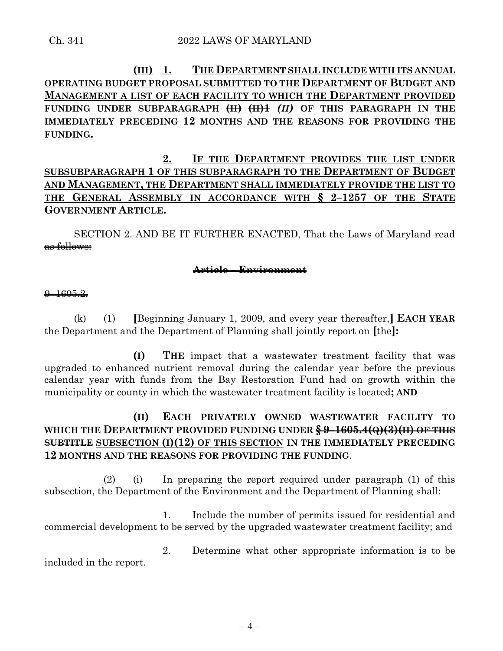# **(III) 1. THE DEPARTMENT SHALL INCLUDE WITH ITS ANNUAL OPERATING BUDGET PROPOSAL SUBMITTED TO THE DEPARTMENT OF BUDGET AND MANAGEMENT A LIST OF EACH FACILITY TO WHICH THE DEPARTMENT PROVIDED FUNDING UNDER SUBPARAGRAPH (II) (II)1** *(II)* **OF THIS PARAGRAPH IN THE IMMEDIATELY PRECEDING 12 MONTHS AND THE REASONS FOR PROVIDING THE FUNDING.**

**2. IF THE DEPARTMENT PROVIDES THE LIST UNDER SUBSUBPARAGRAPH 1 OF THIS SUBPARAGRAPH TO THE DEPARTMENT OF BUDGET AND MANAGEMENT, THE DEPARTMENT SHALL IMMEDIATELY PROVIDE THE LIST TO THE GENERAL ASSEMBLY IN ACCORDANCE WITH § 2–1257 OF THE STATE GOVERNMENT ARTICLE.**

SECTION 2. AND BE IT FURTHER ENACTED, That the Laws of Maryland read as follows:

#### **Article – Environment**

#### $9 - 1605.2$

(k) (1) **[**Beginning January 1, 2009, and every year thereafter,**] EACH YEAR** the Department and the Department of Planning shall jointly report on **[**the**]:**

**(I) THE** impact that a wastewater treatment facility that was upgraded to enhanced nutrient removal during the calendar year before the previous calendar year with funds from the Bay Restoration Fund had on growth within the municipality or county in which the wastewater treatment facility is located**; AND**

## **(II) EACH PRIVATELY OWNED WASTEWATER FACILITY TO WHICH THE DEPARTMENT PROVIDED FUNDING UNDER § 9–1605.4(Q)(3)(II) OF THIS SUBTITLE SUBSECTION (I)(12) OF THIS SECTION IN THE IMMEDIATELY PRECEDING 12 MONTHS AND THE REASONS FOR PROVIDING THE FUNDING**.

(2) (i) In preparing the report required under paragraph (1) of this subsection, the Department of the Environment and the Department of Planning shall:

1. Include the number of permits issued for residential and commercial development to be served by the upgraded wastewater treatment facility; and

2. Determine what other appropriate information is to be included in the report.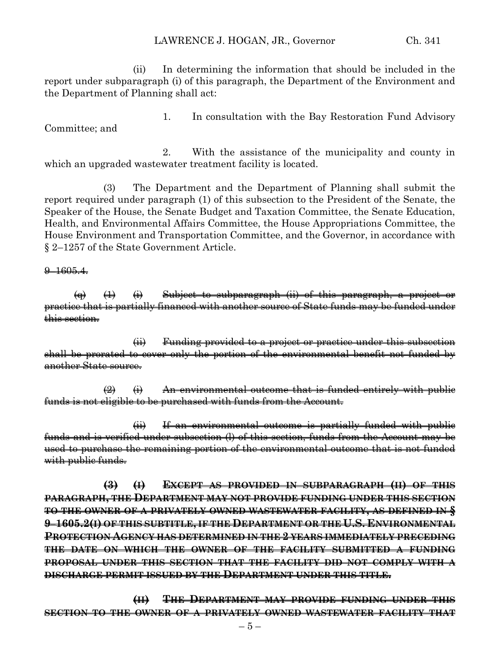#### LAWRENCE J. HOGAN, JR., Governor Ch. 341

(ii) In determining the information that should be included in the report under subparagraph (i) of this paragraph, the Department of the Environment and the Department of Planning shall act:

1. In consultation with the Bay Restoration Fund Advisory Committee; and

2. With the assistance of the municipality and county in which an upgraded wastewater treatment facility is located.

(3) The Department and the Department of Planning shall submit the report required under paragraph (1) of this subsection to the President of the Senate, the Speaker of the House, the Senate Budget and Taxation Committee, the Senate Education, Health, and Environmental Affairs Committee, the House Appropriations Committee, the House Environment and Transportation Committee, and the Governor, in accordance with § 2–1257 of the State Government Article.

#### $9 - 1605.4$

 $\overline{a}$  (i)  $\overline{b}$  Subject to subparagraph (ii) of this paragraph, a project or practice that is partially financed with another source of State funds may be funded under this section.

(ii) Funding provided to a project or practice under this subsection shall be prorated to cover only the portion of the environmental benefit not funded by another State source.

 $\left( 2 \right)$  (i) An environmental outcome that is funded entirely with public funds is not eligible to be purchased with funds from the Account.

(ii) If an environmental outcome is partially funded with public funds and is verified under subsection (l) of this section, funds from the Account may be used to purchase the remaining portion of the environmental outcome that is not funded with public funds.

**(3) (I) EXCEPT AS PROVIDED IN SUBPARAGRAPH (II) OF THIS PARAGRAPH, THE DEPARTMENT MAY NOT PROVIDE FUNDING UNDER THIS SECTION TO THE OWNER OF A PRIVATELY OWNED WASTEWATER FACILITY, AS DEFINED IN § 9–1605.2(I) OF THIS SUBTITLE, IF THE DEPARTMENT OR THE U.S. ENVIRONMENTAL PROTECTION AGENCY HAS DETERMINED IN THE 2 YEARS IMMEDIATELY PRECEDING THE DATE ON WHICH THE OWNER OF THE FACILITY SUBMITTED A FUNDING PROPOSAL UNDER THIS SECTION THAT THE FACILITY DID NOT COMPLY WITH A DISCHARGE PERMIT ISSUED BY THE DEPARTMENT UNDER THIS TITLE.**

**(II) THE DEPARTMENT MAY PROVIDE FUNDING UNDER THIS SECTION TO THE OWNER OF A PRIVATELY OWNED WASTEWATER FACILITY THAT**